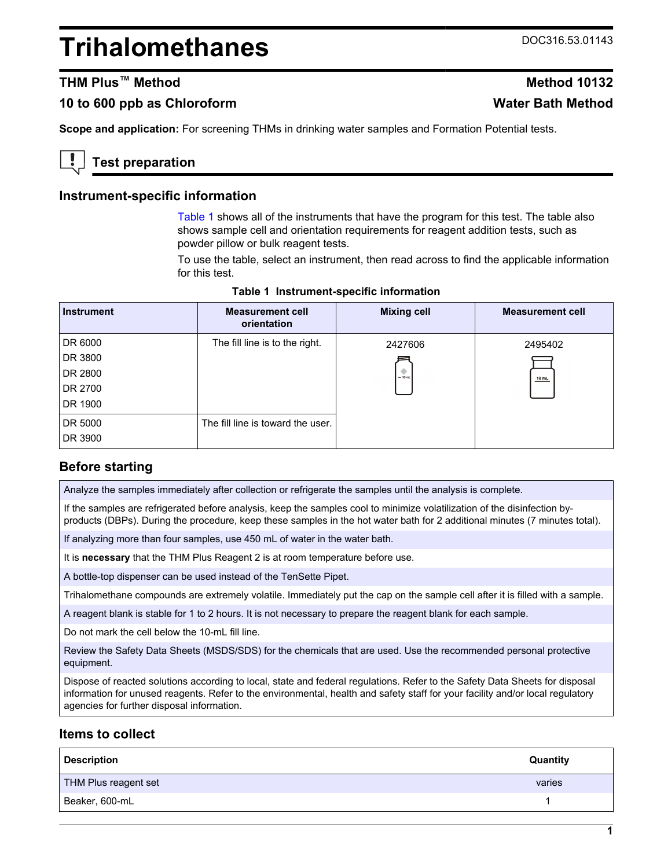# <span id="page-0-0"></span>**Trihalomethanes** DOC316.53.01143

# **THM Plus™ Method Method 10132**

## **10 to 600 ppb as Chloroform Water Bath Method**

**Scope and application:** For screening THMs in drinking water samples and Formation Potential tests.

# **Test preparation**

#### **Instrument-specific information**

Table 1 shows all of the instruments that have the program for this test. The table also shows sample cell and orientation requirements for reagent addition tests, such as powder pillow or bulk reagent tests.

To use the table, select an instrument, then read across to find the applicable information for this test.

| <b>Instrument</b> | <b>Measurement cell</b><br>orientation | <b>Mixing cell</b> | <b>Measurement cell</b> |
|-------------------|----------------------------------------|--------------------|-------------------------|
| DR 6000           | The fill line is to the right.         | 2427606            | 2495402                 |
| DR 3800           |                                        |                    |                         |
| DR 2800           |                                        | $= 10$ mL          | $10$ mL                 |
| DR 2700           |                                        |                    |                         |
| DR 1900           |                                        |                    |                         |
| DR 5000           | The fill line is toward the user.      |                    |                         |
| DR 3900           |                                        |                    |                         |

#### **Table 1 Instrument-specific information**

#### **Before starting**

Analyze the samples immediately after collection or refrigerate the samples until the analysis is complete.

If the samples are refrigerated before analysis, keep the samples cool to minimize volatilization of the disinfection byproducts (DBPs). During the procedure, keep these samples in the hot water bath for 2 additional minutes (7 minutes total).

If analyzing more than four samples, use 450 mL of water in the water bath.

It is **necessary** that the THM Plus Reagent 2 is at room temperature before use.

A bottle-top dispenser can be used instead of the TenSette Pipet.

Trihalomethane compounds are extremely volatile. Immediately put the cap on the sample cell after it is filled with a sample.

A reagent blank is stable for 1 to 2 hours. It is not necessary to prepare the reagent blank for each sample.

Do not mark the cell below the 10-mL fill line.

Review the Safety Data Sheets (MSDS/SDS) for the chemicals that are used. Use the recommended personal protective equipment.

Dispose of reacted solutions according to local, state and federal regulations. Refer to the Safety Data Sheets for disposal information for unused reagents. Refer to the environmental, health and safety staff for your facility and/or local regulatory agencies for further disposal information.

## **Items to collect**

| <b>Description</b>   | <b>Quantity</b> |
|----------------------|-----------------|
| THM Plus reagent set | varies          |
| Beaker, 600-mL       |                 |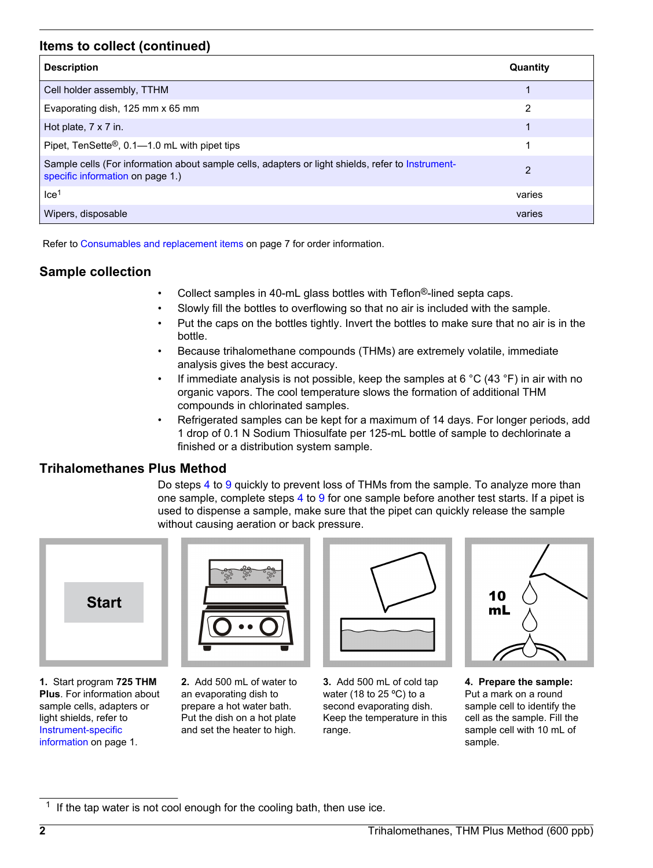## **Items to collect (continued)**

| <b>Description</b>                                                                                                                    | Quantity |
|---------------------------------------------------------------------------------------------------------------------------------------|----------|
| Cell holder assembly, TTHM                                                                                                            |          |
| Evaporating dish, 125 mm x 65 mm                                                                                                      | 2        |
| Hot plate, $7 \times 7$ in.                                                                                                           | 1        |
| Pipet, TenSette <sup>®</sup> , 0.1—1.0 mL with pipet tips                                                                             | 1        |
| Sample cells (For information about sample cells, adapters or light shields, refer to Instrument-<br>specific information on page 1.) | 2        |
| Ice <sup>1</sup>                                                                                                                      | varies   |
| Wipers, disposable                                                                                                                    | varies   |

Refer to [Consumables and replacement items](#page-6-0) on page 7 for order information.

# **Sample collection**

- Collect samples in 40-mL glass bottles with Teflon®-lined septa caps.
- Slowly fill the bottles to overflowing so that no air is included with the sample.
- Put the caps on the bottles tightly. Invert the bottles to make sure that no air is in the bottle.
- Because trihalomethane compounds (THMs) are extremely volatile, immediate analysis gives the best accuracy.
- If immediate analysis is not possible, keep the samples at 6 °C (43 °F) in air with no organic vapors. The cool temperature slows the formation of additional THM compounds in chlorinated samples.
- Refrigerated samples can be kept for a maximum of 14 days. For longer periods, add 1 drop of 0.1 N Sodium Thiosulfate per 125-mL bottle of sample to dechlorinate a finished or a distribution system sample.

# **Trihalomethanes Plus Method**

Do steps 4 to [9](#page-2-0) quickly to prevent loss of THMs from the sample. To analyze more than one sample, complete steps 4 to [9](#page-2-0) for one sample before another test starts. If a pipet is used to dispense a sample, make sure that the pipet can quickly release the sample without causing aeration or back pressure.



**1.** Start program **725 THM Plus**. For information about sample cells, adapters or light shields, refer to [Instrument-specific](#page-0-0) [information](#page-0-0) on page 1.



**2.** Add 500 mL of water to an evaporating dish to prepare a hot water bath. Put the dish on a hot plate and set the heater to high.



**3.** Add 500 mL of cold tap water (18 to 25 ºC) to a second evaporating dish. Keep the temperature in this range.



**4. Prepare the sample:** Put a mark on a round sample cell to identify the cell as the sample. Fill the sample cell with 10 mL of sample.

<sup>1</sup> If the tap water is not cool enough for the cooling bath, then use ice.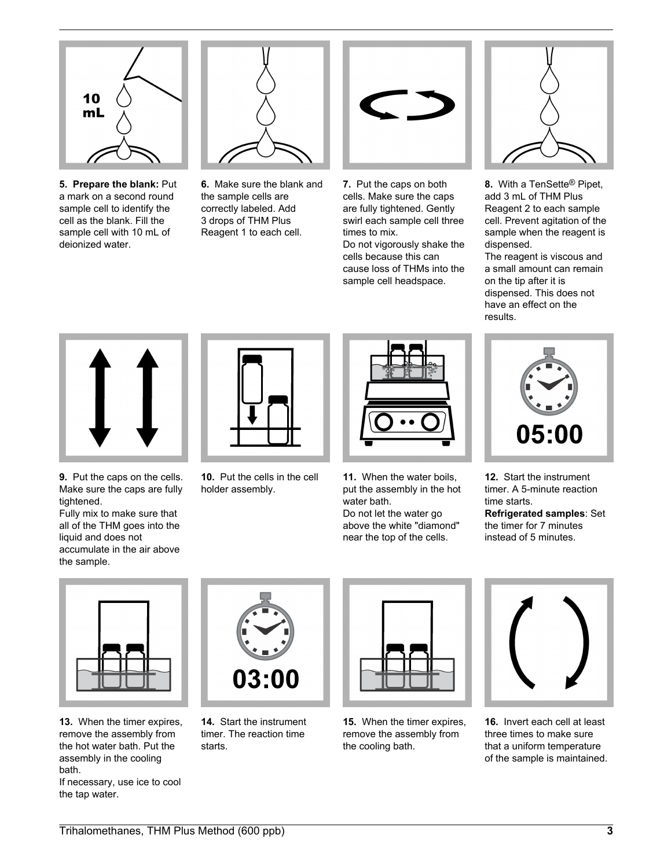<span id="page-2-0"></span>

**5. Prepare the blank:** Put a mark on a second round sample cell to identify the cell as the blank. Fill the sample cell with 10 mL of deionized water.



**6.** Make sure the blank and the sample cells are correctly labeled. Add 3 drops of THM Plus Reagent 1 to each cell.



**7.** Put the caps on both cells. Make sure the caps are fully tightened. Gently swirl each sample cell three times to mix. Do not vigorously shake the

cells because this can cause loss of THMs into the sample cell headspace.



**8.** With a TenSette® Pipet, add 3 mL of THM Plus Reagent 2 to each sample cell. Prevent agitation of the sample when the reagent is dispensed.

The reagent is viscous and a small amount can remain on the tip after it is dispensed. This does not have an effect on the results.



**9.** Put the caps on the cells. Make sure the caps are fully tightened.

Fully mix to make sure that all of the THM goes into the liquid and does not accumulate in the air above the sample.



**10.** Put the cells in the cell holder assembly.



**11.** When the water boils, put the assembly in the hot water bath.

Do not let the water go above the white "diamond" near the top of the cells.



**12.** Start the instrument timer. A 5-minute reaction time starts. **Refrigerated samples**: Set the timer for 7 minutes instead of 5 minutes.



**13.** When the timer expires, remove the assembly from the hot water bath. Put the assembly in the cooling bath.

If necessary, use ice to cool the tap water.



**14.** Start the instrument timer. The reaction time starts.



**15.** When the timer expires, remove the assembly from the cooling bath.



**16.** Invert each cell at least three times to make sure that a uniform temperature of the sample is maintained.

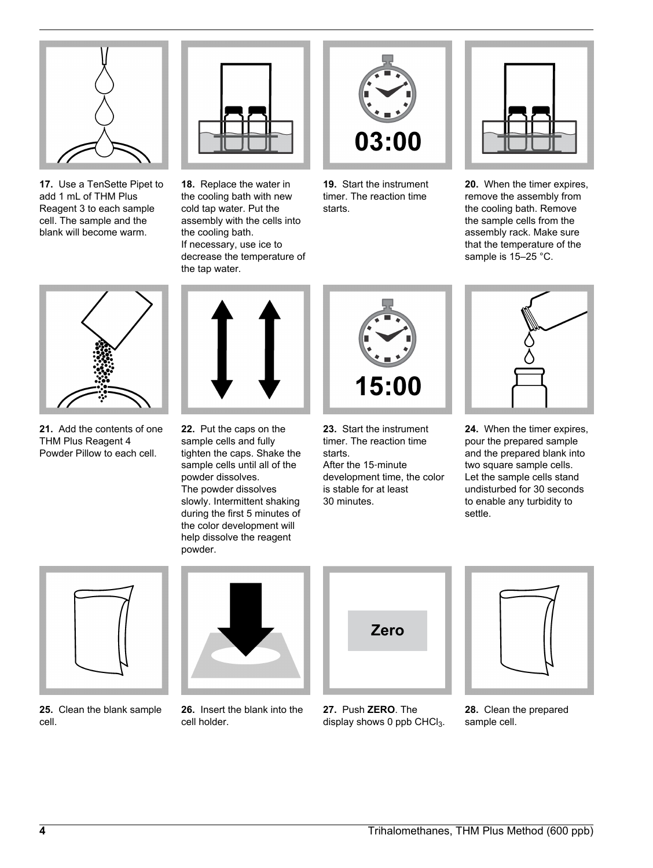

**17.** Use a TenSette Pipet to add 1 mL of THM Plus Reagent 3 to each sample cell. The sample and the blank will become warm.



**18.** Replace the water in the cooling bath with new cold tap water. Put the assembly with the cells into the cooling bath. If necessary, use ice to decrease the temperature of the tap water.



**19.** Start the instrument timer. The reaction time starts.



**20.** When the timer expires, remove the assembly from the cooling bath. Remove the sample cells from the assembly rack. Make sure that the temperature of the sample is 15-25 °C.



**21.** Add the contents of one THM Plus Reagent 4 Powder Pillow to each cell.



**22.** Put the caps on the sample cells and fully tighten the caps. Shake the sample cells until all of the powder dissolves. The powder dissolves slowly. Intermittent shaking during the first 5 minutes of the color development will help dissolve the reagent powder.



**23.** Start the instrument timer. The reaction time starts. After the 15‑minute development time, the color is stable for at least 30 minutes.



**24.** When the timer expires, pour the prepared sample and the prepared blank into two square sample cells. Let the sample cells stand undisturbed for 30 seconds to enable any turbidity to settle.



**25.** Clean the blank sample cell.



**26.** Insert the blank into the cell holder.



**27.** Push **ZERO**. The display shows 0 ppb CHCl $_3$ .

**28.** Clean the prepared sample cell.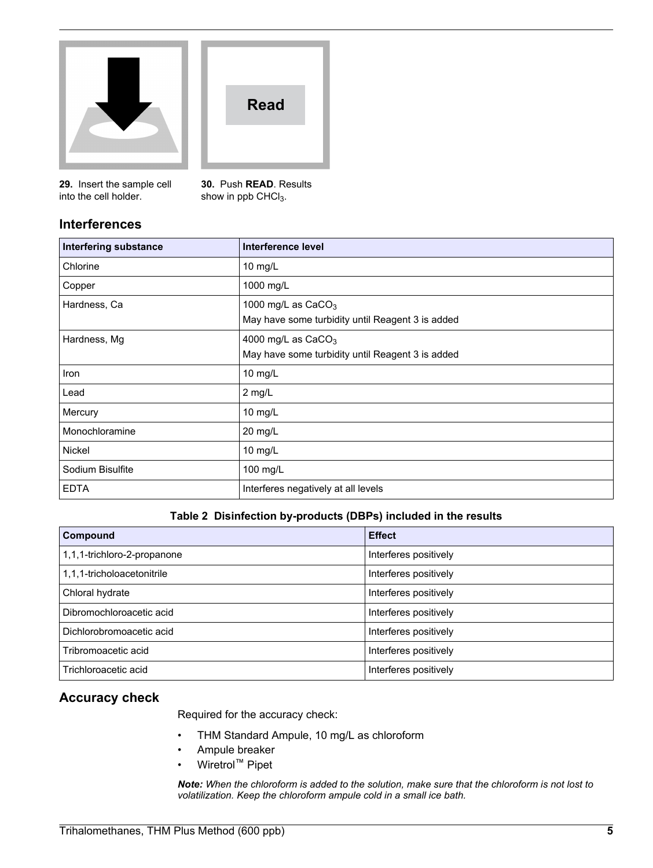<span id="page-4-0"></span>



**29.** Insert the sample cell into the cell holder.

**30.** Push **READ**. Results show in ppb CHCl<sub>3</sub>.

# **Interferences**

| <b>Interfering substance</b> | Interference level                                                       |
|------------------------------|--------------------------------------------------------------------------|
| Chlorine                     | 10 mg/L                                                                  |
| Copper                       | 1000 mg/L                                                                |
| Hardness, Ca                 | 1000 mg/L as $CaCO3$<br>May have some turbidity until Reagent 3 is added |
| Hardness, Mg                 | 4000 mg/L as $CaCO3$<br>May have some turbidity until Reagent 3 is added |
| Iron                         | 10 mg/L                                                                  |
| Lead                         | $2$ mg/L                                                                 |
| Mercury                      | 10 mg/L                                                                  |
| Monochloramine               | 20 mg/L                                                                  |
| <b>Nickel</b>                | 10 mg/L                                                                  |
| Sodium Bisulfite             | 100 mg/L                                                                 |
| <b>EDTA</b>                  | Interferes negatively at all levels                                      |

#### **Table 2 Disinfection by-products (DBPs) included in the results**

| Compound                    | <b>Effect</b>         |
|-----------------------------|-----------------------|
| 1,1,1-trichloro-2-propanone | Interferes positively |
| 1,1,1-tricholoacetonitrile  | Interferes positively |
| Chloral hydrate             | Interferes positively |
| Dibromochloroacetic acid    | Interferes positively |
| Dichlorobromoacetic acid    | Interferes positively |
| Tribromoacetic acid         | Interferes positively |
| Trichloroacetic acid        | Interferes positively |

# **Accuracy check**

Required for the accuracy check:

- THM Standard Ampule, 10 mg/L as chloroform
- Ampule breaker
- Wiretrol™ Pipet

*Note: When the chloroform is added to the solution, make sure that the chloroform is not lost to volatilization. Keep the chloroform ampule cold in a small ice bath.*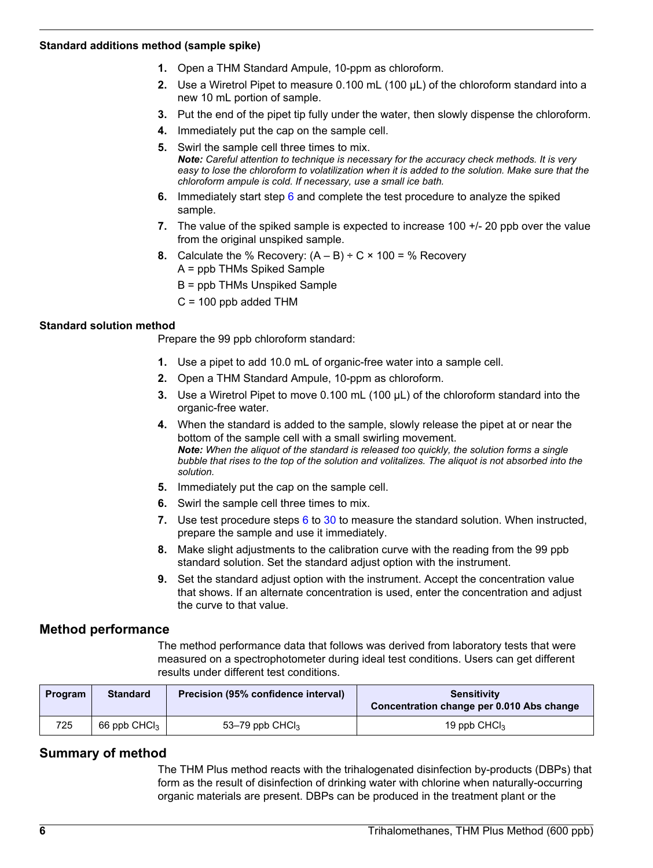#### **Standard additions method (sample spike)**

- **1.** Open a THM Standard Ampule, 10-ppm as chloroform.
- **2.** Use a Wiretrol Pipet to measure 0.100 mL (100 µL) of the chloroform standard into a new 10 mL portion of sample.
- **3.** Put the end of the pipet tip fully under the water, then slowly dispense the chloroform.
- **4.** Immediately put the cap on the sample cell.
- **5.** Swirl the sample cell three times to mix. *Note: Careful attention to technique is necessary for the accuracy check methods. It is very easy to lose the chloroform to volatilization when it is added to the solution. Make sure that the chloroform ampule is cold. If necessary, use a small ice bath.*
- **6.** Immediately start step [6](#page-2-0) and complete the test procedure to analyze the spiked sample.
- **7.** The value of the spiked sample is expected to increase 100 +/- 20 ppb over the value from the original unspiked sample.
- **8.** Calculate the % Recovery:  $(A B) \div C \times 100 =$  % Recovery A = ppb THMs Spiked Sample
	- B = ppb THMs Unspiked Sample
	- $C = 100$  ppb added THM

#### **Standard solution method**

Prepare the 99 ppb chloroform standard:

- **1.** Use a pipet to add 10.0 mL of organic-free water into a sample cell.
- **2.** Open a THM Standard Ampule, 10-ppm as chloroform.
- **3.** Use a Wiretrol Pipet to move 0.100 mL (100 µL) of the chloroform standard into the organic-free water.
- **4.** When the standard is added to the sample, slowly release the pipet at or near the bottom of the sample cell with a small swirling movement. *Note: When the aliquot of the standard is released too quickly, the solution forms a single bubble that rises to the top of the solution and volitalizes. The aliquot is not absorbed into the solution.*
- **5.** Immediately put the cap on the sample cell.
- **6.** Swirl the sample cell three times to mix.
- **7.** Use test procedure steps [6](#page-2-0) to [30](#page-4-0) to measure the standard solution. When instructed, prepare the sample and use it immediately.
- **8.** Make slight adjustments to the calibration curve with the reading from the 99 ppb standard solution. Set the standard adjust option with the instrument.
- **9.** Set the standard adjust option with the instrument. Accept the concentration value that shows. If an alternate concentration is used, enter the concentration and adjust the curve to that value.

## **Method performance**

The method performance data that follows was derived from laboratory tests that were measured on a spectrophotometer during ideal test conditions. Users can get different results under different test conditions.

| <b>Program</b> | <b>Standard</b> | Precision (95% confidence interval) | <b>Sensitivity</b><br>Concentration change per 0.010 Abs change |
|----------------|-----------------|-------------------------------------|-----------------------------------------------------------------|
| 725            | 66 ppb $CHCl3$  | 53–79 ppb $CHCl3$                   | 19 ppb $CHCl3$                                                  |

## **Summary of method**

The THM Plus method reacts with the trihalogenated disinfection by-products (DBPs) that form as the result of disinfection of drinking water with chlorine when naturally-occurring organic materials are present. DBPs can be produced in the treatment plant or the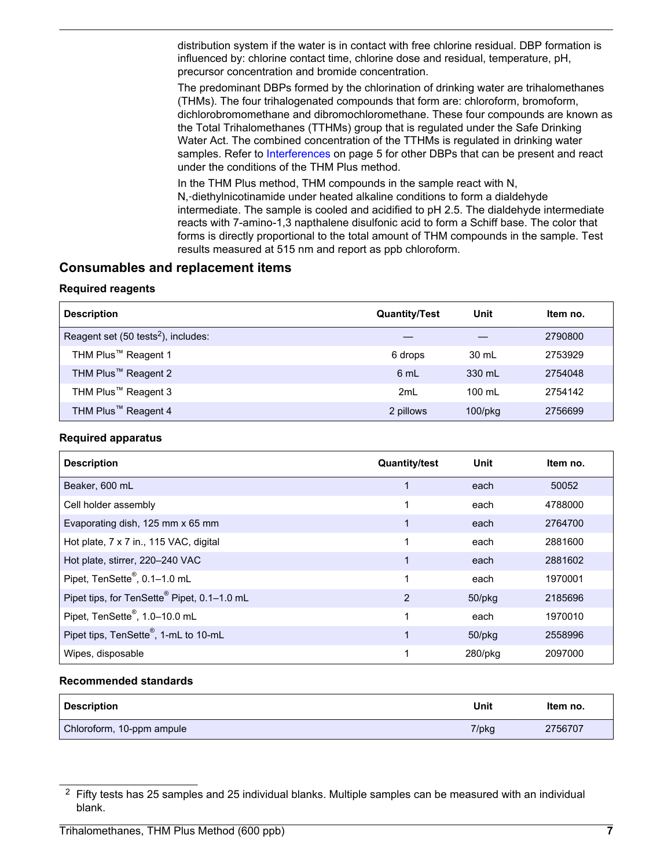<span id="page-6-0"></span>distribution system if the water is in contact with free chlorine residual. DBP formation is influenced by: chlorine contact time, chlorine dose and residual, temperature, pH, precursor concentration and bromide concentration.

The predominant DBPs formed by the chlorination of drinking water are trihalomethanes (THMs). The four trihalogenated compounds that form are: chloroform, bromoform, dichlorobromomethane and dibromochloromethane. These four compounds are known as the Total Trihalomethanes (TTHMs) group that is regulated under the Safe Drinking Water Act. The combined concentration of the TTHMs is regulated in drinking water samples. Refer to [Interferences](#page-4-0) on page 5 for other DBPs that can be present and react under the conditions of the THM Plus method.

In the THM Plus method, THM compounds in the sample react with N, N,‑diethylnicotinamide under heated alkaline conditions to form a dialdehyde intermediate. The sample is cooled and acidified to pH 2.5. The dialdehyde intermediate reacts with 7-amino-1,3 napthalene disulfonic acid to form a Schiff base. The color that forms is directly proportional to the total amount of THM compounds in the sample. Test results measured at 515 nm and report as ppb chloroform.

## **Consumables and replacement items**

#### **Required reagents**

| <b>Description</b>                              | <b>Quantity/Test</b> | Unit             | Item no. |
|-------------------------------------------------|----------------------|------------------|----------|
| Reagent set (50 tests <sup>2</sup> ), includes: |                      |                  | 2790800  |
| THM Plus <sup>™</sup> Reagent 1                 | 6 drops              | 30 mL            | 2753929  |
| THM Plus <sup>™</sup> Reagent 2                 | 6 mL                 | $330 \text{ ml}$ | 2754048  |
| THM Plus <sup>™</sup> Reagent 3                 | 2mL                  | $100 \text{ ml}$ | 2754142  |
| THM Plus <sup>™</sup> Reagent 4                 | 2 pillows            | $100$ /p $kg$    | 2756699  |

#### **Required apparatus**

| <b>Description</b>                          | <b>Quantity/test</b> | Unit       | Item no. |
|---------------------------------------------|----------------------|------------|----------|
| Beaker, 600 mL                              |                      | each       | 50052    |
| Cell holder assembly                        | 1                    | each       | 4788000  |
| Evaporating dish, 125 mm x 65 mm            | 1                    | each       | 2764700  |
| Hot plate, 7 x 7 in., 115 VAC, digital      | 1                    | each       | 2881600  |
| Hot plate, stirrer, 220-240 VAC             | 1                    | each       | 2881602  |
| Pipet, TenSette <sup>®</sup> , 0.1-1.0 mL   | 1                    | each       | 1970001  |
| Pipet tips, for TenSette® Pipet, 0.1-1.0 mL | 2                    | 50/pkg     | 2185696  |
| Pipet, TenSette <sup>®</sup> , 1.0-10.0 mL  | 1                    | each       | 1970010  |
| Pipet tips, TenSette®, 1-mL to 10-mL        | 1                    | 50/pkg     | 2558996  |
| Wipes, disposable                           | 1                    | $280$ /pkg | 2097000  |

#### **Recommended standards**

| <b>Description</b>        | Unit  | ltem no. |
|---------------------------|-------|----------|
| Chloroform, 10-ppm ampule | 7/pkg | 2756707  |

 $2$  Fifty tests has 25 samples and 25 individual blanks. Multiple samples can be measured with an individual blank.